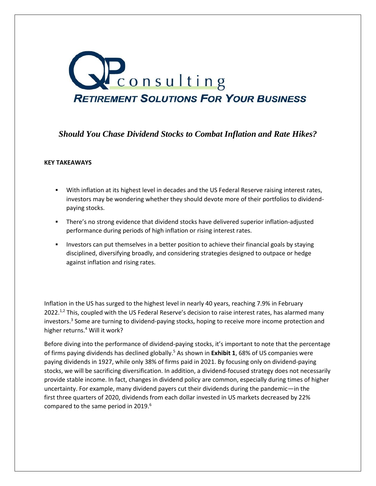

# *Should You Chase Dividend Stocks to Combat Inflation and Rate Hikes?*

# **KEY TAKEAWAYS**

- With inflation at its highest level in decades and the US Federal Reserve raising interest rates, investors may be wondering whether they should devote more of their portfolios to dividendpaying stocks.
- There's no strong evidence that dividend stocks have delivered superior inflation-adjusted performance during periods of high inflation or rising interest rates.
- Investors can put themselves in a better position to achieve their financial goals by staying disciplined, diversifying broadly, and considering strategies designed to outpace or hedge against inflation and rising rates.

Inflation in the US has surged to the highest level in nearly 40 years, reaching 7.9% in February 2022.<sup>1,2</sup> This, coupled with the US Federal Reserve's decision to raise interest rates, has alarmed many investors.<sup>3</sup> Some are turning to dividend-paying stocks, hoping to receive more income protection and higher returns.<sup>4</sup> Will it work?

Before diving into the performance of dividend-paying stocks, it's important to note that the percentage of firms paying dividends has declined globally.<sup>5</sup> As shown in **Exhibit 1**, 68% of US companies were paying dividends in 1927, while only 38% of firms paid in 2021. By focusing only on dividend-paying stocks, we will be sacrificing diversification. In addition, a dividend-focused strategy does not necessarily provide stable income. In fact, changes in dividend policy are common, especially during times of higher uncertainty. For example, many dividend payers cut their dividends during the pandemic—in the first three quarters of 2020, dividends from each dollar invested in US markets decreased by 22% compared to the same period in 2019.<sup>6</sup>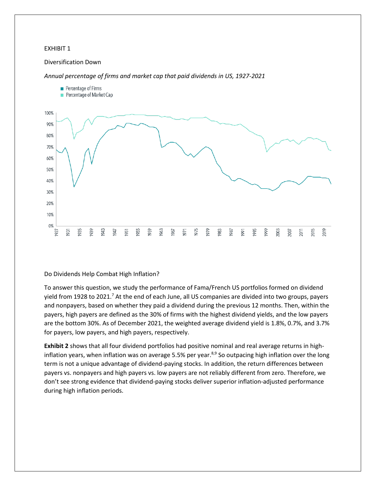#### Diversification Down

*Annual percentage of firms and market cap that paid dividends in US, 1927-2021*



#### Do Dividends Help Combat High Inflation?

To answer this question, we study the performance of Fama/French US portfolios formed on dividend yield from 1928 to 2021.<sup>7</sup> At the end of each June, all US companies are divided into two groups, payers and nonpayers, based on whether they paid a dividend during the previous 12 months. Then, within the payers, high payers are defined as the 30% of firms with the highest dividend yields, and the low payers are the bottom 30%. As of December 2021, the weighted average dividend yield is 1.8%, 0.7%, and 3.7% for payers, low payers, and high payers, respectively.

**Exhibit 2** shows that all four dividend portfolios had positive nominal and real average returns in highinflation years, when inflation was on average 5.5% per year. $8.9$  So outpacing high inflation over the long term is not a unique advantage of dividend-paying stocks. In addition, the return differences between payers vs. nonpayers and high payers vs. low payers are not reliably different from zero. Therefore, we don't see strong evidence that dividend-paying stocks deliver superior inflation-adjusted performance during high inflation periods.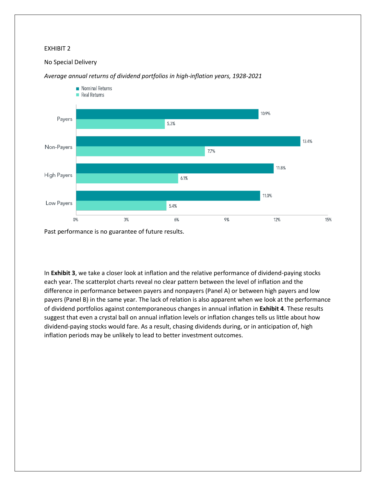# No Special Delivery



# *Average annual returns of dividend portfolios in high-inflation years, 1928-2021*

Past performance is no guarantee of future results.

In **Exhibit 3**, we take a closer look at inflation and the relative performance of dividend-paying stocks each year. The scatterplot charts reveal no clear pattern between the level of inflation and the difference in performance between payers and nonpayers (Panel A) or between high payers and low payers (Panel B) in the same year. The lack of relation is also apparent when we look at the performance of dividend portfolios against contemporaneous changes in annual inflation in **Exhibit 4**. These results suggest that even a crystal ball on annual inflation levels or inflation changes tells us little about how dividend-paying stocks would fare. As a result, chasing dividends during, or in anticipation of, high inflation periods may be unlikely to lead to better investment outcomes.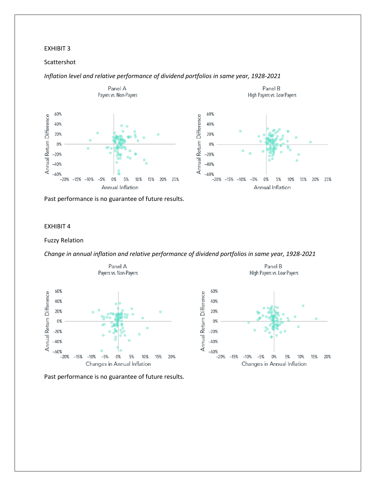# Scattershot

# *Inflation level and relative performance of dividend portfolios in same year, 1928-2021*



Past performance is no guarantee of future results.

# EXHIBIT 4

### Fuzzy Relation

*Change in annual inflation and relative performance of dividend portfolios in same year, 1928-2021*



Past performance is no guarantee of future results.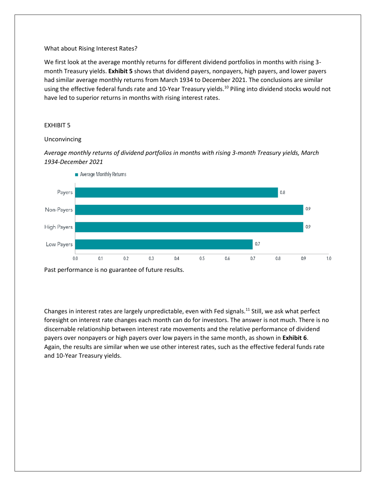# What about Rising Interest Rates?

We first look at the average monthly returns for different dividend portfolios in months with rising 3 month Treasury yields. **Exhibit 5** shows that dividend payers, nonpayers, high payers, and lower payers had similar average monthly returns from March 1934 to December 2021. The conclusions are similar using the effective federal funds rate and 10-Year Treasury yields.<sup>10</sup> Piling into dividend stocks would not have led to superior returns in months with rising interest rates.

# EXHIBIT 5

# Unconvincing

*Average monthly returns of dividend portfolios in months with rising 3-month Treasury yields, March 1934-December 2021*



Past performance is no guarantee of future results.

Changes in interest rates are largely unpredictable, even with Fed signals.<sup>11</sup> Still, we ask what perfect foresight on interest rate changes each month can do for investors. The answer is not much. There is no discernable relationship between interest rate movements and the relative performance of dividend payers over nonpayers or high payers over low payers in the same month, as shown in **Exhibit 6**. Again, the results are similar when we use other interest rates, such as the effective federal funds rate and 10-Year Treasury yields.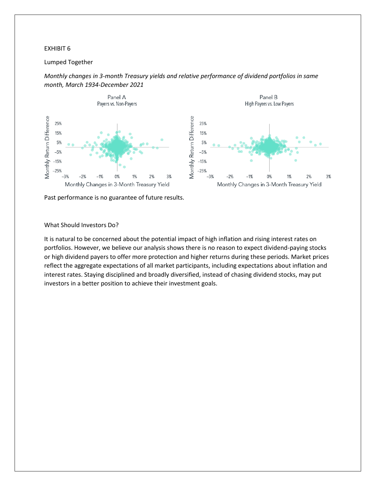# Lumped Together



*Monthly changes in 3-month Treasury yields and relative performance of dividend portfolios in same month, March 1934-December 2021*

Past performance is no guarantee of future results.

## What Should Investors Do?

It is natural to be concerned about the potential impact of high inflation and rising interest rates on portfolios. However, we believe our analysis shows there is no reason to expect dividend-paying stocks or high dividend payers to offer more protection and higher returns during these periods. Market prices reflect the aggregate expectations of all market participants, including expectations about inflation and interest rates. Staying disciplined and broadly diversified, instead of chasing dividend stocks, may put investors in a better position to achieve their investment goals.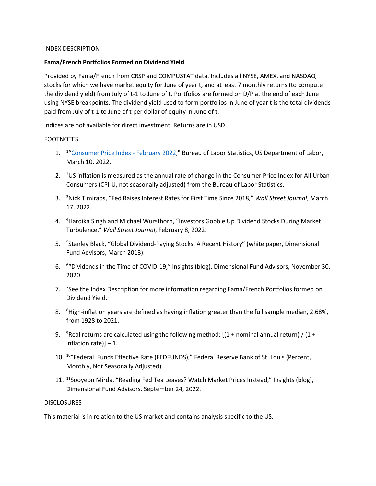## INDEX DESCRIPTION

# **Fama/French Portfolios Formed on Dividend Yield**

Provided by Fama/French from CRSP and COMPUSTAT data. Includes all NYSE, AMEX, and NASDAQ stocks for which we have market equity for June of year t, and at least 7 monthly returns (to compute the dividend yield) from July of t-1 to June of t. Portfolios are formed on D/P at the end of each June using NYSE breakpoints. The dividend yield used to form portfolios in June of year t is the total dividends paid from July of t-1 to June of t per dollar of equity in June of t.

Indices are not available for direct investment. Returns are in USD.

# FOOTNOTES

- 1. <sup>1</sup>"[Consumer Price Index -](https://www.dimensional.com/pause?r=https://www.bls.gov/news.release/pdf/cpi.pdf&b=https://www.dimensional.com/us-en/insights/should-you-chase-dividend-stocks-to-combat-inflation-and-rate-hikes) February 2022," Bureau of Labor Statistics, US Department of Labor, March 10, 2022.
- 2.  $2 \text{US}$  inflation is measured as the annual rate of change in the Consumer Price Index for All Urban Consumers (CPI-U, not seasonally adjusted) from the Bureau of Labor Statistics.
- 3. <sup>3</sup>Nick Timiraos, "Fed Raises Interest Rates for First Time Since 2018," *Wall Street Journal*, March 17, 2022.
- 4. <sup>4</sup>Hardika Singh and Michael Wursthorn, "Investors Gobble Up Dividend Stocks During Market Turbulence," *Wall Street Journal*, February 8, 2022.
- 5. <sup>5</sup>Stanley Black, "Global Dividend-Paying Stocks: A Recent History" (white paper, Dimensional Fund Advisors, March 2013).
- 6. <sup>6</sup>"Dividends in the Time of COVID-19," Insights (blog), Dimensional Fund Advisors, November 30, 2020.
- 7. <sup>7</sup>See the Index Description for more information regarding Fama/French Portfolios formed on Dividend Yield.
- 8. <sup>8</sup>High-inflation years are defined as having inflation greater than the full sample median, 2.68%, from 1928 to 2021.
- 9.  $\degree$ Real returns are calculated using the following method: [(1 + nominal annual return) / (1 + inflation rate)] – 1.
- 10. <sup>10</sup>"Federal Funds Effective Rate (FEDFUNDS)," Federal Reserve Bank of St. Louis (Percent, Monthly, Not Seasonally Adjusted).
- 11. <sup>11</sup>Sooyeon Mirda, "Reading Fed Tea Leaves? Watch Market Prices Instead," Insights (blog), Dimensional Fund Advisors, September 24, 2022.

#### **DISCLOSURES**

This material is in relation to the US market and contains analysis specific to the US.